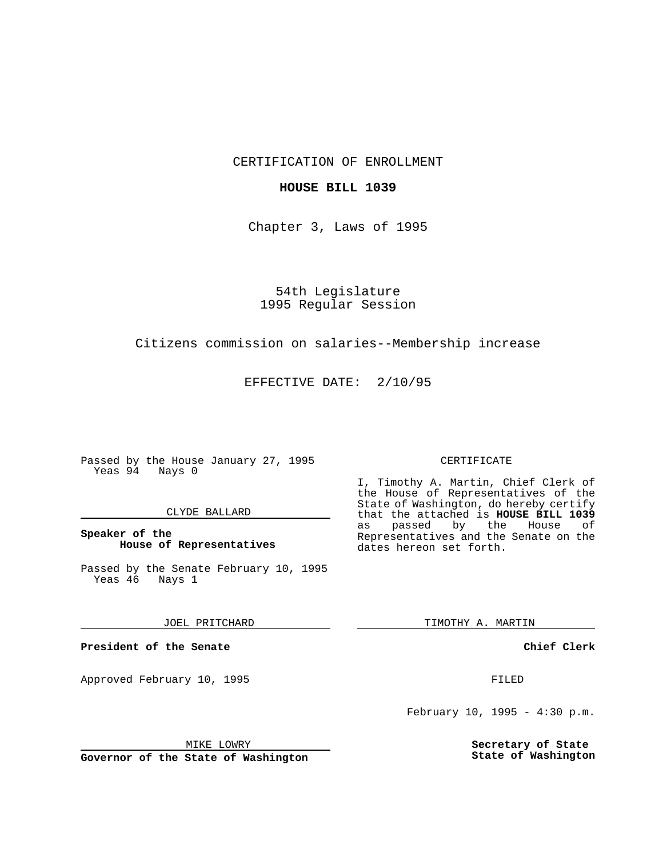CERTIFICATION OF ENROLLMENT

# **HOUSE BILL 1039**

Chapter 3, Laws of 1995

54th Legislature 1995 Regular Session

## Citizens commission on salaries--Membership increase

EFFECTIVE DATE: 2/10/95

Passed by the House January 27, 1995 Yeas 94 Nays 0

## CLYDE BALLARD

# **Speaker of the House of Representatives**

Passed by the Senate February 10, 1995<br>Yeas 46 Nays 1 Yeas 46

#### JOEL PRITCHARD

**President of the Senate**

Approved February 10, 1995 FILED

# CERTIFICATE

I, Timothy A. Martin, Chief Clerk of the House of Representatives of the State of Washington, do hereby certify that the attached is **HOUSE BILL 1039** as passed by the Representatives and the Senate on the dates hereon set forth.

TIMOTHY A. MARTIN

## **Chief Clerk**

February 10, 1995 - 4:30 p.m.

**Secretary of State State of Washington**

MIKE LOWRY

**Governor of the State of Washington**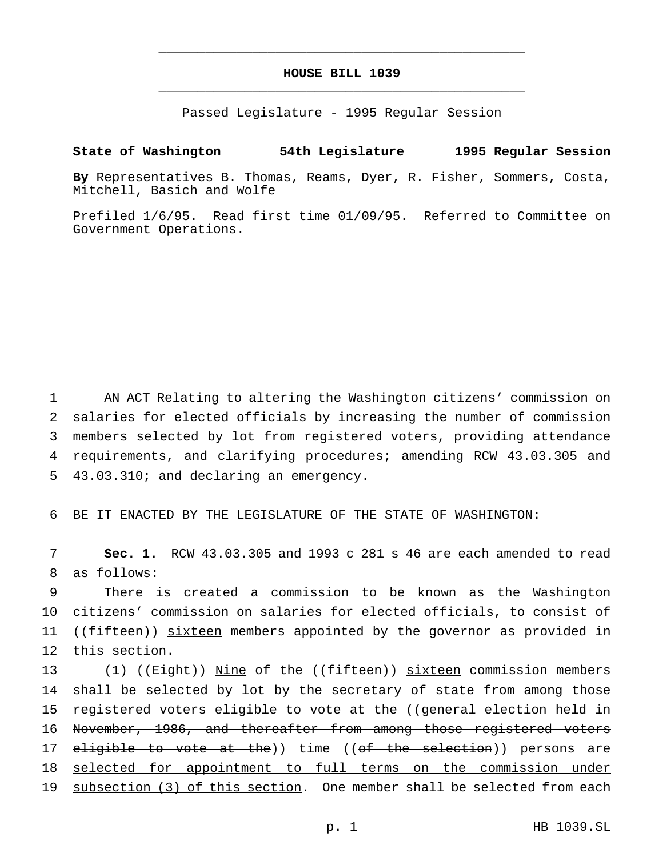# **HOUSE BILL 1039** \_\_\_\_\_\_\_\_\_\_\_\_\_\_\_\_\_\_\_\_\_\_\_\_\_\_\_\_\_\_\_\_\_\_\_\_\_\_\_\_\_\_\_\_\_\_\_

\_\_\_\_\_\_\_\_\_\_\_\_\_\_\_\_\_\_\_\_\_\_\_\_\_\_\_\_\_\_\_\_\_\_\_\_\_\_\_\_\_\_\_\_\_\_\_

Passed Legislature - 1995 Regular Session

# **State of Washington 54th Legislature 1995 Regular Session**

**By** Representatives B. Thomas, Reams, Dyer, R. Fisher, Sommers, Costa, Mitchell, Basich and Wolfe

Prefiled 1/6/95. Read first time 01/09/95. Referred to Committee on Government Operations.

 AN ACT Relating to altering the Washington citizens' commission on salaries for elected officials by increasing the number of commission members selected by lot from registered voters, providing attendance requirements, and clarifying procedures; amending RCW 43.03.305 and 43.03.310; and declaring an emergency.

6 BE IT ENACTED BY THE LEGISLATURE OF THE STATE OF WASHINGTON:

7 **Sec. 1.** RCW 43.03.305 and 1993 c 281 s 46 are each amended to read 8 as follows:

 There is created a commission to be known as the Washington citizens' commission on salaries for elected officials, to consist of 11 ((fifteen)) sixteen members appointed by the governor as provided in this section.

13 (1) ((<del>Eight</del>)) Nine of the ((<del>fifteen</del>)) sixteen commission members 14 shall be selected by lot by the secretary of state from among those 15 registered voters eligible to vote at the ((general election held in 16 November, 1986, and thereafter from among those registered voters 17 eligible to vote at the)) time ((of the selection)) persons are 18 selected for appointment to full terms on the commission under 19 subsection (3) of this section. One member shall be selected from each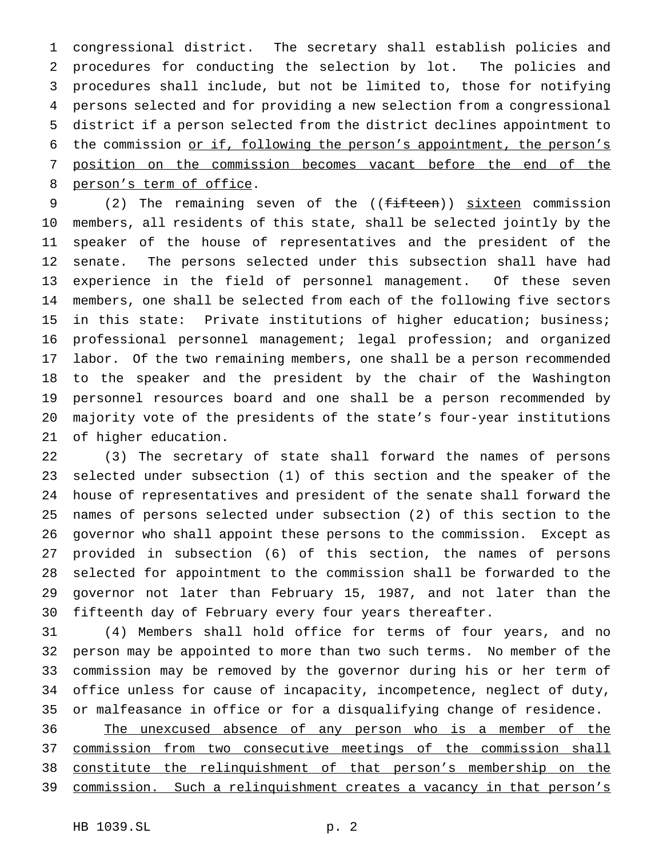congressional district. The secretary shall establish policies and procedures for conducting the selection by lot. The policies and procedures shall include, but not be limited to, those for notifying persons selected and for providing a new selection from a congressional district if a person selected from the district declines appointment to the commission or if, following the person's appointment, the person's position on the commission becomes vacant before the end of the person's term of office.

9 (2) The remaining seven of the ((fifteen)) sixteen commission members, all residents of this state, shall be selected jointly by the speaker of the house of representatives and the president of the senate. The persons selected under this subsection shall have had experience in the field of personnel management. Of these seven members, one shall be selected from each of the following five sectors in this state: Private institutions of higher education; business; professional personnel management; legal profession; and organized labor. Of the two remaining members, one shall be a person recommended to the speaker and the president by the chair of the Washington personnel resources board and one shall be a person recommended by majority vote of the presidents of the state's four-year institutions of higher education.

 (3) The secretary of state shall forward the names of persons selected under subsection (1) of this section and the speaker of the house of representatives and president of the senate shall forward the names of persons selected under subsection (2) of this section to the governor who shall appoint these persons to the commission. Except as provided in subsection (6) of this section, the names of persons selected for appointment to the commission shall be forwarded to the governor not later than February 15, 1987, and not later than the fifteenth day of February every four years thereafter.

 (4) Members shall hold office for terms of four years, and no person may be appointed to more than two such terms. No member of the commission may be removed by the governor during his or her term of office unless for cause of incapacity, incompetence, neglect of duty, or malfeasance in office or for a disqualifying change of residence.

 The unexcused absence of any person who is a member of the commission from two consecutive meetings of the commission shall constitute the relinquishment of that person's membership on the commission. Such a relinquishment creates a vacancy in that person's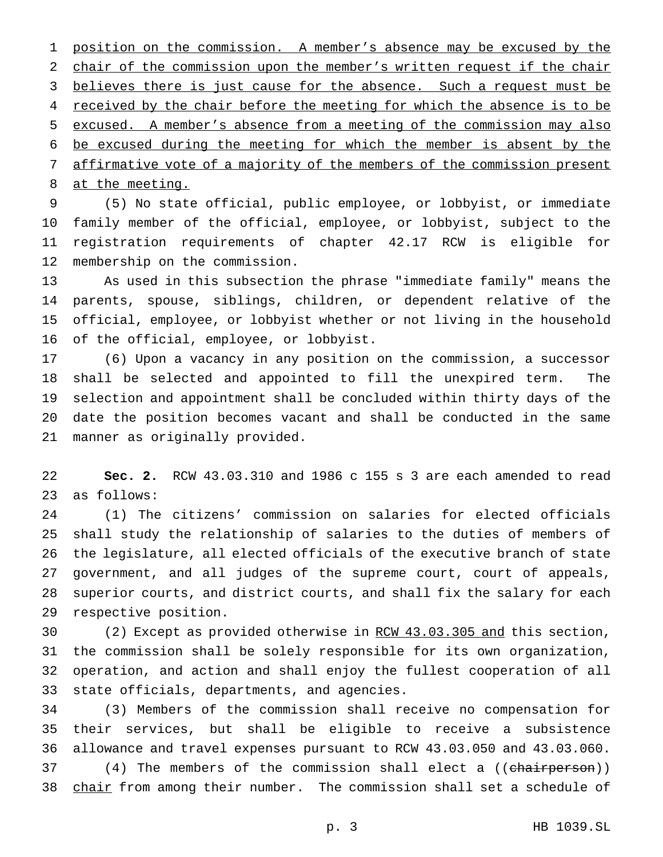position on the commission. A member's absence may be excused by the chair of the commission upon the member's written request if the chair 3 believes there is just cause for the absence. Such a request must be 4 received by the chair before the meeting for which the absence is to be excused. A member's absence from a meeting of the commission may also be excused during the meeting for which the member is absent by the affirmative vote of a majority of the members of the commission present 8 at the meeting.

 (5) No state official, public employee, or lobbyist, or immediate family member of the official, employee, or lobbyist, subject to the registration requirements of chapter 42.17 RCW is eligible for membership on the commission.

 As used in this subsection the phrase "immediate family" means the parents, spouse, siblings, children, or dependent relative of the official, employee, or lobbyist whether or not living in the household of the official, employee, or lobbyist.

 (6) Upon a vacancy in any position on the commission, a successor shall be selected and appointed to fill the unexpired term. The selection and appointment shall be concluded within thirty days of the date the position becomes vacant and shall be conducted in the same manner as originally provided.

 **Sec. 2.** RCW 43.03.310 and 1986 c 155 s 3 are each amended to read as follows:

 (1) The citizens' commission on salaries for elected officials shall study the relationship of salaries to the duties of members of the legislature, all elected officials of the executive branch of state government, and all judges of the supreme court, court of appeals, superior courts, and district courts, and shall fix the salary for each respective position.

 (2) Except as provided otherwise in RCW 43.03.305 and this section, the commission shall be solely responsible for its own organization, operation, and action and shall enjoy the fullest cooperation of all state officials, departments, and agencies.

 (3) Members of the commission shall receive no compensation for their services, but shall be eligible to receive a subsistence allowance and travel expenses pursuant to RCW 43.03.050 and 43.03.060. 37 (4) The members of the commission shall elect a ((chairperson)) 38 chair from among their number. The commission shall set a schedule of